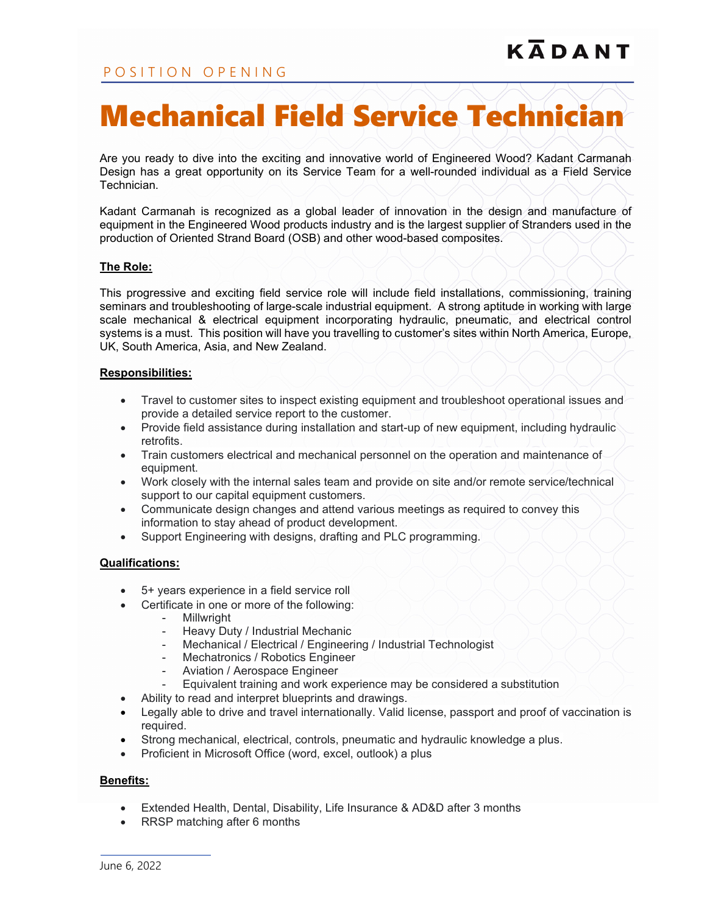# Mechanical Field Service Technician

Are you ready to dive into the exciting and innovative world of Engineered Wood? Kadant Carmanah Design has a great opportunity on its Service Team for a well-rounded individual as a Field Service Technician.

Kadant Carmanah is recognized as a global leader of innovation in the design and manufacture of equipment in the Engineered Wood products industry and is the largest supplier of Stranders used in the production of Oriented Strand Board (OSB) and other wood-based composites.

## **The Role:**

This progressive and exciting field service role will include field installations, commissioning, training seminars and troubleshooting of large-scale industrial equipment. A strong aptitude in working with large scale mechanical & electrical equipment incorporating hydraulic, pneumatic, and electrical control systems is a must. This position will have you travelling to customer's sites within North America, Europe, UK, South America, Asia, and New Zealand.

#### **Responsibilities:**

- Travel to customer sites to inspect existing equipment and troubleshoot operational issues and provide a detailed service report to the customer.
- Provide field assistance during installation and start-up of new equipment, including hydraulic retrofits.
- Train customers electrical and mechanical personnel on the operation and maintenance of equipment.
- Work closely with the internal sales team and provide on site and/or remote service/technical support to our capital equipment customers.
- Communicate design changes and attend various meetings as required to convey this information to stay ahead of product development.
- Support Engineering with designs, drafting and PLC programming.

#### **Qualifications:**

- 5+ years experience in a field service roll
- Certificate in one or more of the following:
	- Millwright
	- Heavy Duty / Industrial Mechanic<br>- Mechanical / Electrical / Engineer
	- Mechanical / Electrical / Engineering / Industrial Technologist
	- Mechatronics / Robotics Engineer
	- Aviation / Aerospace Engineer
	- Equivalent training and work experience may be considered a substitution
- Ability to read and interpret blueprints and drawings.
- Legally able to drive and travel internationally. Valid license, passport and proof of vaccination is required.
- Strong mechanical, electrical, controls, pneumatic and hydraulic knowledge a plus.
- Proficient in Microsoft Office (word, excel, outlook) a plus

## **Benefits:**

- Extended Health, Dental, Disability, Life Insurance & AD&D after 3 months
- RRSP matching after 6 months